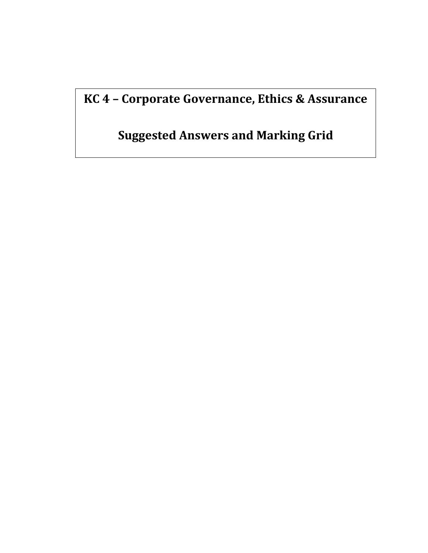**KC 4 – Corporate Governance, Ethics & Assurance** 

**Suggested Answers and Marking Grid**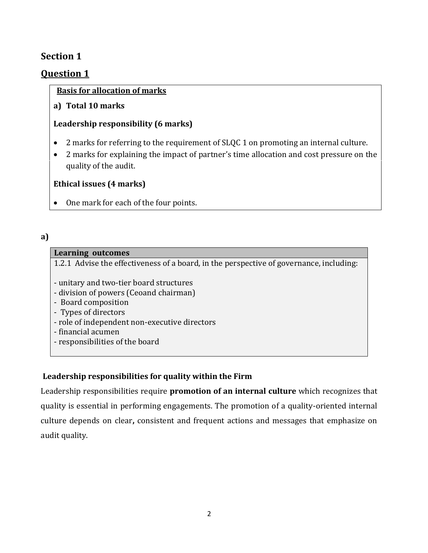## **Section 1**

## **Question 1**

## **Basis for allocation of marks**

**a) Total 10 marks**

## **Leadership responsibility (6 marks)**

- 2 marks for referring to the requirement of SLQC 1 on promoting an internal culture.
- 2 marks for explaining the impact of partner's time allocation and cost pressure on the quality of the audit.

## **Ethical issues (4 marks)**

• One mark for each of the four points.

#### **a)**

#### **Learning outcomes**

1.2.1 Advise the effectiveness of a board, in the perspective of governance, including:

- unitary and two-tier board structures
- division of powers (Ceoand chairman)
- Board composition
- Types of directors
- role of independent non-executive directors
- financial acumen
- responsibilities of the board

## **Leadership responsibilities for quality within the Firm**

Leadership responsibilities require **promotion of an internal culture** which recognizes that quality is essential in performing engagements. The promotion of a quality-oriented internal culture depends on clear**,** consistent and frequent actions and messages that emphasize on audit quality.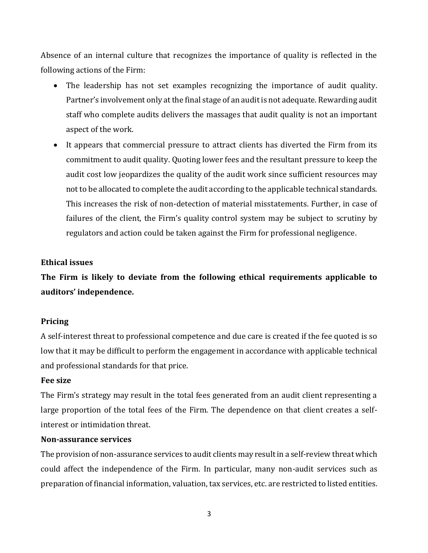Absence of an internal culture that recognizes the importance of quality is reflected in the following actions of the Firm:

- The leadership has not set examples recognizing the importance of audit quality. Partner's involvement only at the final stage of an audit is not adequate. Rewarding audit staff who complete audits delivers the massages that audit quality is not an important aspect of the work.
- It appears that commercial pressure to attract clients has diverted the Firm from its commitment to audit quality. Quoting lower fees and the resultant pressure to keep the audit cost low jeopardizes the quality of the audit work since sufficient resources may not to be allocated to complete the audit according to the applicable technical standards. This increases the risk of non-detection of material misstatements. Further, in case of failures of the client, the Firm's quality control system may be subject to scrutiny by regulators and action could be taken against the Firm for professional negligence.

#### **Ethical issues**

**The Firm is likely to deviate from the following ethical requirements applicable to auditors' independence.**

#### **Pricing**

A self-interest threat to professional competence and due care is created if the fee quoted is so low that it may be difficult to perform the engagement in accordance with applicable technical and professional standards for that price.

#### **Fee size**

The Firm's strategy may result in the total fees generated from an audit client representing a large proportion of the total fees of the Firm. The dependence on that client creates a selfinterest or intimidation threat.

#### **Non-assurance services**

The provision of non-assurance services to audit clients may result in a self-review threat which could affect the independence of the Firm. In particular, many non-audit services such as preparation of financial information, valuation, tax services, etc. are restricted to listed entities.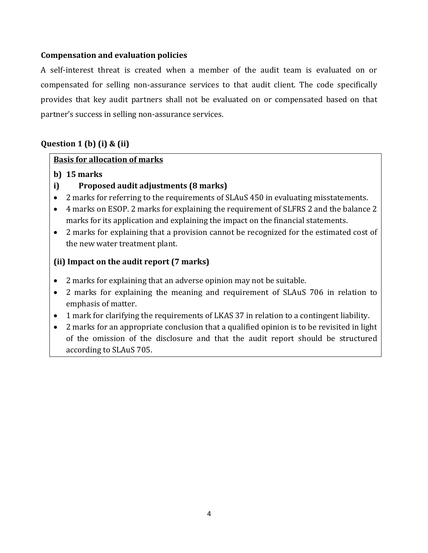#### **Compensation and evaluation policies**

A self-interest threat is created when a member of the audit team is evaluated on or compensated for selling non-assurance services to that audit client. The code specifically provides that key audit partners shall not be evaluated on or compensated based on that partner's success in selling non-assurance services.

## **Question 1 (b) (i) & (ii)**

#### **Basis for allocation of marks**

- **b) 15 marks**
- **i) Proposed audit adjustments (8 marks)**
- 2 marks for referring to the requirements of SLAuS 450 in evaluating misstatements.
- 4 marks on ESOP. 2 marks for explaining the requirement of SLFRS 2 and the balance 2 marks for its application and explaining the impact on the financial statements.
- 2 marks for explaining that a provision cannot be recognized for the estimated cost of the new water treatment plant.

## **(ii) Impact on the audit report (7 marks)**

- 2 marks for explaining that an adverse opinion may not be suitable.
- 2 marks for explaining the meaning and requirement of SLAuS 706 in relation to emphasis of matter.
- 1 mark for clarifying the requirements of LKAS 37 in relation to a contingent liability.
- 2 marks for an appropriate conclusion that a qualified opinion is to be revisited in light of the omission of the disclosure and that the audit report should be structured according to SLAuS 705.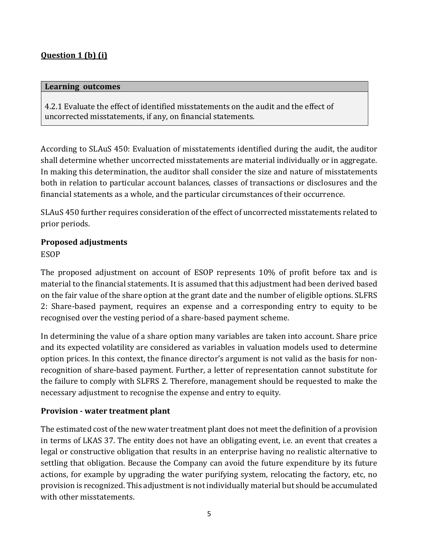## **Question 1 (b) (i)**

#### **Learning outcomes**

4.2.1 Evaluate the effect of identified misstatements on the audit and the effect of uncorrected misstatements, if any, on financial statements.

According to SLAuS 450: Evaluation of misstatements identified during the audit, the auditor shall determine whether uncorrected misstatements are material individually or in aggregate. In making this determination, the auditor shall consider the size and nature of misstatements both in relation to particular account balances, classes of transactions or disclosures and the financial statements as a whole, and the particular circumstances of their occurrence.

SLAuS 450 further requires consideration of the effect of uncorrected misstatements related to prior periods.

# **Proposed adjustments**

ESOP

The proposed adjustment on account of ESOP represents 10% of profit before tax and is material to the financial statements. It is assumed that this adjustment had been derived based on the fair value of the share option at the grant date and the number of eligible options. SLFRS 2: Share-based payment, requires an expense and a corresponding entry to equity to be recognised over the vesting period of a share-based payment scheme.

In determining the value of a share option many variables are taken into account. Share price and its expected volatility are considered as variables in valuation models used to determine option prices. In this context, the finance director's argument is not valid as the basis for nonrecognition of share-based payment. Further, a letter of representation cannot substitute for the failure to comply with SLFRS 2. Therefore, management should be requested to make the necessary adjustment to recognise the expense and entry to equity.

## **Provision - water treatment plant**

The estimated cost of the new water treatment plant does not meet the definition of a provision in terms of LKAS 37. The entity does not have an obligating event, i.e. an event that creates a legal or constructive obligation that results in an enterprise having no realistic alternative to settling that obligation. Because the Company can avoid the future expenditure by its future actions, for example by upgrading the water purifying system, relocating the factory, etc, no provision is recognized. This adjustment is not individually material but should be accumulated with other misstatements.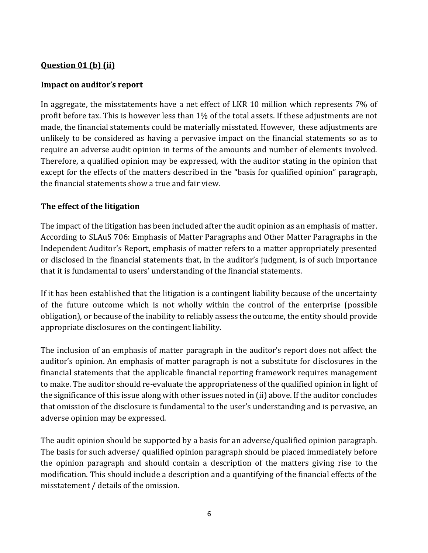## **Question 01 (b) (ii)**

#### **Impact on auditor's report**

In aggregate, the misstatements have a net effect of LKR 10 million which represents 7% of profit before tax. This is however less than 1% of the total assets. If these adjustments are not made, the financial statements could be materially misstated. However, these adjustments are unlikely to be considered as having a pervasive impact on the financial statements so as to require an adverse audit opinion in terms of the amounts and number of elements involved. Therefore, a qualified opinion may be expressed, with the auditor stating in the opinion that except for the effects of the matters described in the "basis for qualified opinion" paragraph, the financial statements show a true and fair view.

#### **The effect of the litigation**

The impact of the litigation has been included after the audit opinion as an emphasis of matter. According to SLAuS 706: Emphasis of Matter Paragraphs and Other Matter Paragraphs in the Independent Auditor's Report, emphasis of matter refers to a matter appropriately presented or disclosed in the financial statements that, in the auditor's judgment, is of such importance that it is fundamental to users' understanding of the financial statements.

If it has been established that the litigation is a contingent liability because of the uncertainty of the future outcome which is not wholly within the control of the enterprise (possible obligation), or because of the inability to reliably assess the outcome, the entity should provide appropriate disclosures on the contingent liability.

The inclusion of an emphasis of matter paragraph in the auditor's report does not affect the auditor's opinion. An emphasis of matter paragraph is not a substitute for disclosures in the financial statements that the applicable financial reporting framework requires management to make. The auditor should re-evaluate the appropriateness of the qualified opinion in light of the significance of this issue along with other issues noted in (ii) above. If the auditor concludes that omission of the disclosure is fundamental to the user's understanding and is pervasive, an adverse opinion may be expressed.

The audit opinion should be supported by a basis for an adverse/qualified opinion paragraph. The basis for such adverse/ qualified opinion paragraph should be placed immediately before the opinion paragraph and should contain a description of the matters giving rise to the modification. This should include a description and a quantifying of the financial effects of the misstatement / details of the omission.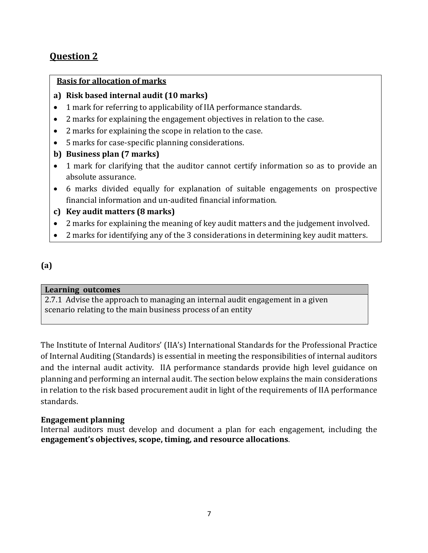## **Question 2**

#### **Basis for allocation of marks**

- **a) Risk based internal audit (10 marks)**
- 1 mark for referring to applicability of IIA performance standards.
- 2 marks for explaining the engagement objectives in relation to the case.
- 2 marks for explaining the scope in relation to the case.
- 5 marks for case-specific planning considerations.
- **b) Business plan (7 marks)**
- 1 mark for clarifying that the auditor cannot certify information so as to provide an absolute assurance.
- 6 marks divided equally for explanation of suitable engagements on prospective financial information and un-audited financial information.

## **c) Key audit matters (8 marks)**

- 2 marks for explaining the meaning of key audit matters and the judgement involved.
- 2 marks for identifying any of the 3 considerations in determining key audit matters.

## **(a)**

#### **Learning outcomes**

2.7.1 Advise the approach to managing an internal audit engagement in a given scenario relating to the main business process of an entity

The Institute of Internal Auditors' (IIA's) International Standards for the Professional Practice of Internal Auditing (Standards) is essential in meeting the responsibilities of internal auditors and the internal audit activity. IIA performance standards provide high level guidance on planning and performing an internal audit. The section below explains the main considerations in relation to the risk based procurement audit in light of the requirements of IIA performance standards.

#### **Engagement planning**

Internal auditors must develop and document a plan for each engagement, including the **engagement's objectives, scope, timing, and resource allocations**.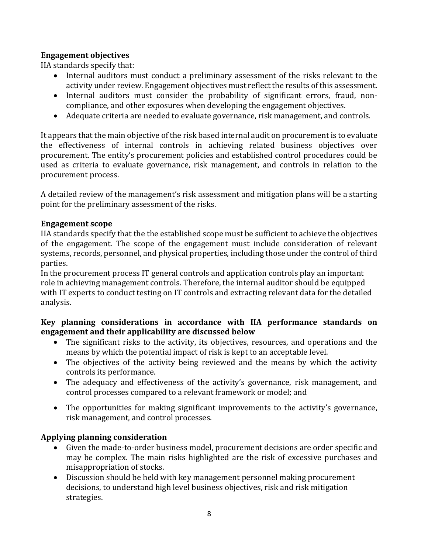## **Engagement objectives**

IIA standards specify that:

- Internal auditors must conduct a preliminary assessment of the risks relevant to the activity under review. Engagement objectives must reflect the results of this assessment.
- Internal auditors must consider the probability of significant errors, fraud, noncompliance, and other exposures when developing the engagement objectives.
- Adequate criteria are needed to evaluate governance, risk management, and controls.

It appears that the main objective of the risk based internal audit on procurement is to evaluate the effectiveness of internal controls in achieving related business objectives over procurement. The entity's procurement policies and established control procedures could be used as criteria to evaluate governance, risk management, and controls in relation to the procurement process.

A detailed review of the management's risk assessment and mitigation plans will be a starting point for the preliminary assessment of the risks.

#### **Engagement scope**

IIA standards specify that the the established scope must be sufficient to achieve the objectives of the engagement. The scope of the engagement must include consideration of relevant systems, records, personnel, and physical properties, including those under the control of third parties.

In the procurement process IT general controls and application controls play an important role in achieving management controls. Therefore, the internal auditor should be equipped with IT experts to conduct testing on IT controls and extracting relevant data for the detailed analysis.

#### **Key planning considerations in accordance with IIA performance standards on engagement and their applicability are discussed below**

- The significant risks to the activity, its objectives, resources, and operations and the means by which the potential impact of risk is kept to an acceptable level.
- The objectives of the activity being reviewed and the means by which the activity controls its performance.
- The adequacy and effectiveness of the activity's governance, risk management, and control processes compared to a relevant framework or model; and
- The opportunities for making significant improvements to the activity's governance, risk management, and control processes.

## **Applying planning consideration**

- Given the made-to-order business model, procurement decisions are order specific and may be complex. The main risks highlighted are the risk of excessive purchases and misappropriation of stocks.
- Discussion should be held with key management personnel making procurement decisions, to understand high level business objectives, risk and risk mitigation strategies.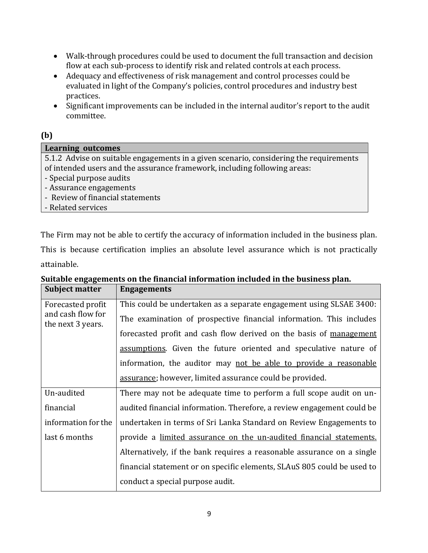- Walk-through procedures could be used to document the full transaction and decision flow at each sub-process to identify risk and related controls at each process.
- Adequacy and effectiveness of risk management and control processes could be evaluated in light of the Company's policies, control procedures and industry best practices.
- Significant improvements can be included in the internal auditor's report to the audit committee.

## **(b)**

| <b>Learning outcomes</b>                                                               |  |  |
|----------------------------------------------------------------------------------------|--|--|
| 5.1.2 Advise on suitable engagements in a given scenario, considering the requirements |  |  |
| of intended users and the assurance framework, including following areas:              |  |  |
| - Special purpose audits                                                               |  |  |
| - Assurance engagements                                                                |  |  |
| - Review of financial statements                                                       |  |  |
| - Related services                                                                     |  |  |

The Firm may not be able to certify the accuracy of information included in the business plan. This is because certification implies an absolute level assurance which is not practically attainable.

| <b>Subject matter</b>                                       | <b>Engagements</b>                                                      |
|-------------------------------------------------------------|-------------------------------------------------------------------------|
| Forecasted profit<br>and cash flow for<br>the next 3 years. | This could be undertaken as a separate engagement using SLSAE 3400:     |
|                                                             | The examination of prospective financial information. This includes     |
|                                                             | forecasted profit and cash flow derived on the basis of management      |
|                                                             | assumptions. Given the future oriented and speculative nature of        |
|                                                             | information, the auditor may not be able to provide a reasonable        |
|                                                             | assurance; however, limited assurance could be provided.                |
| Un-audited                                                  | There may not be adequate time to perform a full scope audit on un-     |
| financial                                                   | audited financial information. Therefore, a review engagement could be  |
| information for the                                         | undertaken in terms of Sri Lanka Standard on Review Engagements to      |
| last 6 months                                               | provide a limited assurance on the un-audited financial statements.     |
|                                                             | Alternatively, if the bank requires a reasonable assurance on a single  |
|                                                             | financial statement or on specific elements, SLAuS 805 could be used to |
|                                                             | conduct a special purpose audit.                                        |

# **Suitable engagements on the financial information included in the business plan.**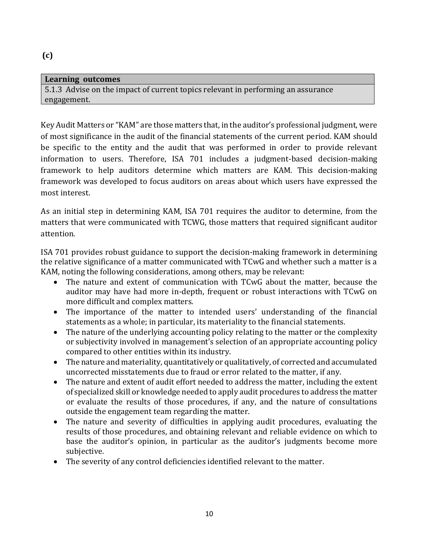## **Learning outcomes** 5.1.3 Advise on the impact of current topics relevant in performing an assurance engagement.

Key Audit Matters or "KAM" are those matters that, in the auditor's professional judgment, were of most significance in the audit of the financial statements of the current period. KAM should be specific to the entity and the audit that was performed in order to provide relevant information to users. Therefore, ISA 701 includes a judgment-based decision-making framework to help auditors determine which matters are KAM. This decision-making framework was developed to focus auditors on areas about which users have expressed the most interest.

As an initial step in determining KAM, ISA 701 requires the auditor to determine, from the matters that were communicated with TCWG, those matters that required significant auditor attention.

ISA 701 provides robust guidance to support the decision-making framework in determining the relative significance of a matter communicated with TCwG and whether such a matter is a KAM, noting the following considerations, among others, may be relevant:

- The nature and extent of communication with TCwG about the matter, because the auditor may have had more in-depth, frequent or robust interactions with TCwG on more difficult and complex matters.
- The importance of the matter to intended users' understanding of the financial statements as a whole; in particular, its materiality to the financial statements.
- The nature of the underlying accounting policy relating to the matter or the complexity or subjectivity involved in management's selection of an appropriate accounting policy compared to other entities within its industry.
- The nature and materiality, quantitatively or qualitatively, of corrected and accumulated uncorrected misstatements due to fraud or error related to the matter, if any.
- The nature and extent of audit effort needed to address the matter, including the extent of specialized skill or knowledge needed to apply audit procedures to address the matter or evaluate the results of those procedures, if any, and the nature of consultations outside the engagement team regarding the matter.
- The nature and severity of difficulties in applying audit procedures, evaluating the results of those procedures, and obtaining relevant and reliable evidence on which to base the auditor's opinion, in particular as the auditor's judgments become more subjective.
- The severity of any control deficiencies identified relevant to the matter.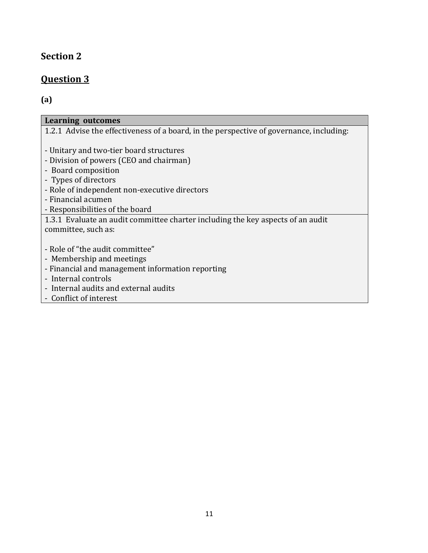## **Section 2**

## **Question 3**

## **(a)**

| Learning outcomes                                                                       |
|-----------------------------------------------------------------------------------------|
| 1.2.1 Advise the effectiveness of a board, in the perspective of governance, including: |
|                                                                                         |
| - Unitary and two-tier board structures                                                 |
| - Division of powers (CEO and chairman)                                                 |
| - Board composition                                                                     |
| - Types of directors                                                                    |
| - Role of independent non-executive directors                                           |
| - Financial acumen                                                                      |
| - Responsibilities of the board                                                         |
| 1.3.1 Evaluate an audit committee charter including the key aspects of an audit         |
| committee, such as:                                                                     |
|                                                                                         |
| - Role of "the audit committee"                                                         |
| - Membership and meetings                                                               |
| - Financial and management information reporting                                        |
| - Internal controls                                                                     |
| - Internal audits and external audits                                                   |
| - Conflict of interest                                                                  |
|                                                                                         |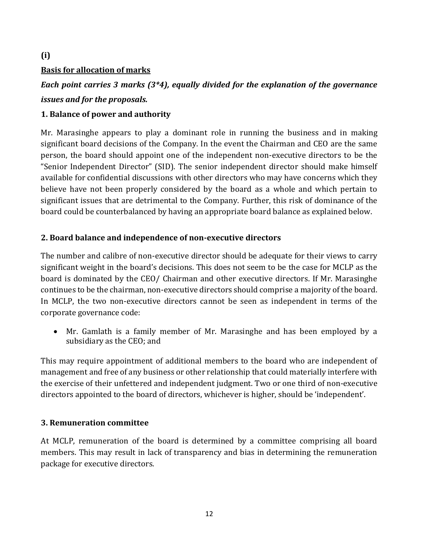## **Basis for allocation of marks**

**(i)**

## *Each point carries 3 marks (3\*4), equally divided for the explanation of the governance issues and for the proposals.*

## **1. Balance of power and authority**

Mr. Marasinghe appears to play a dominant role in running the business and in making significant board decisions of the Company. In the event the Chairman and CEO are the same person, the board should appoint one of the independent non-executive directors to be the "Senior Independent Director" (SID). The senior independent director should make himself available for confidential discussions with other directors who may have concerns which they believe have not been properly considered by the board as a whole and which pertain to significant issues that are detrimental to the Company. Further, this risk of dominance of the board could be counterbalanced by having an appropriate board balance as explained below.

## **2. Board balance and independence of non-executive directors**

The number and calibre of non-executive director should be adequate for their views to carry significant weight in the board's decisions. This does not seem to be the case for MCLP as the board is dominated by the CEO/ Chairman and other executive directors. If Mr. Marasinghe continues to be the chairman, non-executive directors should comprise a majority of the board. In MCLP, the two non-executive directors cannot be seen as independent in terms of the corporate governance code:

 Mr. Gamlath is a family member of Mr. Marasinghe and has been employed by a subsidiary as the CEO; and

This may require appointment of additional members to the board who are independent of management and free of any business or other relationship that could materially interfere with the exercise of their unfettered and independent judgment. Two or one third of non-executive directors appointed to the board of directors, whichever is higher, should be 'independent'.

## **3. Remuneration committee**

At MCLP, remuneration of the board is determined by a committee comprising all board members. This may result in lack of transparency and bias in determining the remuneration package for executive directors.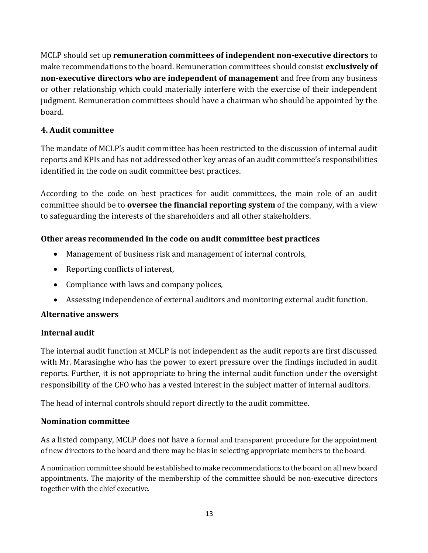MCLP should set up **remuneration committees of independent non-executive directors** to make recommendations to the board. Remuneration committees should consist **exclusively of non-executive directors who are independent of management** and free from any business or other relationship which could materially interfere with the exercise of their independent judgment. Remuneration committees should have a chairman who should be appointed by the board.

## **4. Audit committee**

The mandate of MCLP's audit committee has been restricted to the discussion of internal audit reports and KPIs and has not addressed other key areas of an audit committee's responsibilities identified in the code on audit committee best practices.

According to the code on best practices for audit committees, the main role of an audit committee should be to **oversee the financial reporting system** of the company, with a view to safeguarding the interests of the shareholders and all other stakeholders.

## **Other areas recommended in the code on audit committee best practices**

- Management of business risk and management of internal controls,
- Reporting conflicts of interest,
- Compliance with laws and company polices,
- Assessing independence of external auditors and monitoring external audit function.

## **Alternative answers**

## **Internal audit**

The internal audit function at MCLP is not independent as the audit reports are first discussed with Mr. Marasinghe who has the power to exert pressure over the findings included in audit reports. Further, it is not appropriate to bring the internal audit function under the oversight responsibility of the CFO who has a vested interest in the subject matter of internal auditors.

The head of internal controls should report directly to the audit committee.

## **Nomination committee**

As a listed company, MCLP does not have a formal and transparent procedure for the appointment of new directors to the board and there may be bias in selecting appropriate members to the board.

A nomination committee should be established to make recommendations to the board on all new board appointments. The majority of the membership of the committee should be non-executive directors together with the chief executive.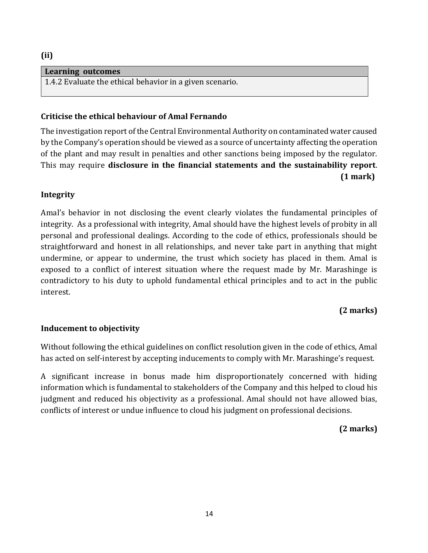#### **(ii)**

#### **Learning outcomes**

1.4.2 Evaluate the ethical behavior in a given scenario.

## **Criticise the ethical behaviour of Amal Fernando**

The investigation report of the Central Environmental Authority on contaminated water caused by the Company's operation should be viewed as a source of uncertainty affecting the operation of the plant and may result in penalties and other sanctions being imposed by the regulator. This may require **disclosure in the financial statements and the sustainability report**.  **(1 mark)**

## **Integrity**

Amal's behavior in not disclosing the event clearly violates the fundamental principles of integrity. As a professional with integrity, Amal should have the highest levels of probity in all personal and professional dealings. According to the code of ethics, professionals should be straightforward and honest in all relationships, and never take part in anything that might undermine, or appear to undermine, the trust which society has placed in them. Amal is exposed to a conflict of interest situation where the request made by Mr. Marashinge is contradictory to his duty to uphold fundamental ethical principles and to act in the public interest.

## **(2 marks)**

#### **Inducement to objectivity**

Without following the ethical guidelines on conflict resolution given in the code of ethics, Amal has acted on self-interest by accepting inducements to comply with Mr. Marashinge's request.

A significant increase in bonus made him disproportionately concerned with hiding information which is fundamental to stakeholders of the Company and this helped to cloud his judgment and reduced his objectivity as a professional. Amal should not have allowed bias, conflicts of interest or undue influence to cloud his judgment on professional decisions.

## **(2 marks)**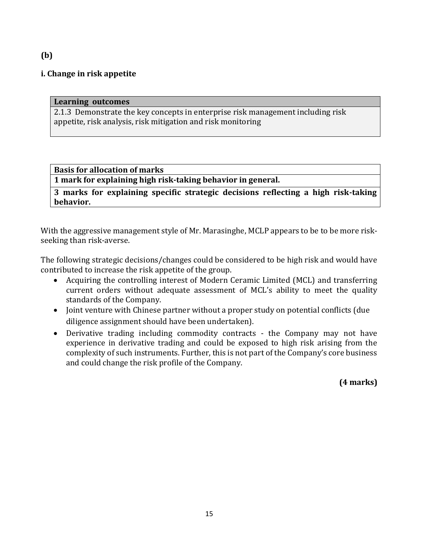#### **i. Change in risk appetite**

#### **Learning outcomes**

2.1.3 Demonstrate the key concepts in enterprise risk management including risk appetite, risk analysis, risk mitigation and risk monitoring

#### **Basis for allocation of marks**

**1 mark for explaining high risk-taking behavior in general.**

**3 marks for explaining specific strategic decisions reflecting a high risk-taking behavior.**

With the aggressive management style of Mr. Marasinghe, MCLP appears to be to be more riskseeking than risk-averse.

The following strategic decisions/changes could be considered to be high risk and would have contributed to increase the risk appetite of the group.

- Acquiring the controlling interest of Modern Ceramic Limited (MCL) and transferring current orders without adequate assessment of MCL's ability to meet the quality standards of the Company.
- Joint venture with Chinese partner without a proper study on potential conflicts (due diligence assignment should have been undertaken).
- Derivative trading including commodity contracts the Company may not have experience in derivative trading and could be exposed to high risk arising from the complexity of such instruments. Further, this is not part of the Company's core business and could change the risk profile of the Company.

**(4 marks)**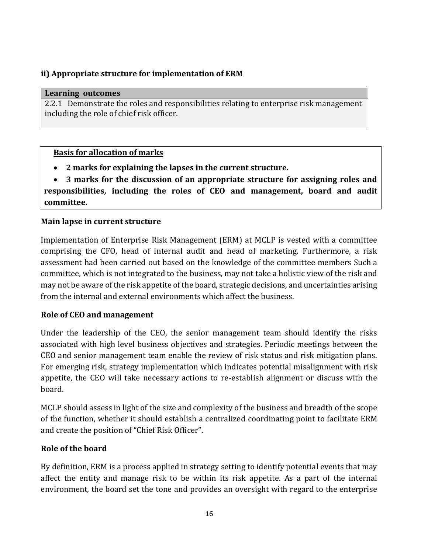## **ii) Appropriate structure for implementation of ERM**

#### **Learning outcomes**

2.2.1 Demonstrate the roles and responsibilities relating to enterprise risk management including the role of chief risk officer.

#### **Basis for allocation of marks**

**2 marks for explaining the lapses in the current structure.**

 **3 marks for the discussion of an appropriate structure for assigning roles and responsibilities, including the roles of CEO and management, board and audit committee.**

#### **Main lapse in current structure**

Implementation of Enterprise Risk Management (ERM) at MCLP is vested with a committee comprising the CFO, head of internal audit and head of marketing. Furthermore, a risk assessment had been carried out based on the knowledge of the committee members Such a committee, which is not integrated to the business, may not take a holistic view of the risk and may not be aware of the risk appetite of the board, strategic decisions, and uncertainties arising from the internal and external environments which affect the business.

## **Role of CEO and management**

Under the leadership of the CEO, the senior management team should identify the risks associated with high level business objectives and strategies. Periodic meetings between the CEO and senior management team enable the review of risk status and risk mitigation plans. For emerging risk, strategy implementation which indicates potential misalignment with risk appetite, the CEO will take necessary actions to re-establish alignment or discuss with the board.

MCLP should assess in light of the size and complexity of the business and breadth of the scope of the function, whether it should establish a centralized coordinating point to facilitate ERM and create the position of "Chief Risk Officer".

## **Role of the board**

By definition, ERM is a process applied in strategy setting to identify potential events that may affect the entity and manage risk to be within its risk appetite. As a part of the internal environment, the board set the tone and provides an oversight with regard to the enterprise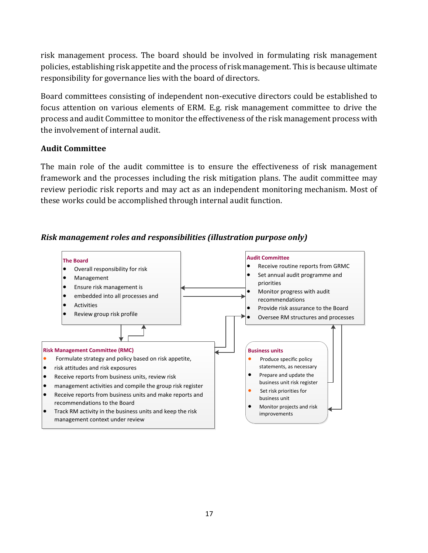risk management process. The board should be involved in formulating risk management policies, establishing risk appetite and the process of risk management. This is because ultimate responsibility for governance lies with the board of directors.

Board committees consisting of independent non-executive directors could be established to focus attention on various elements of ERM. E.g. risk management committee to drive the process and audit Committee to monitor the effectiveness of the risk management process with the involvement of internal audit.

#### **Audit Committee**

The main role of the audit committee is to ensure the effectiveness of risk management framework and the processes including the risk mitigation plans. The audit committee may review periodic risk reports and may act as an independent monitoring mechanism. Most of these works could be accomplished through internal audit function.

## *Risk management roles and responsibilities (illustration purpose only)*

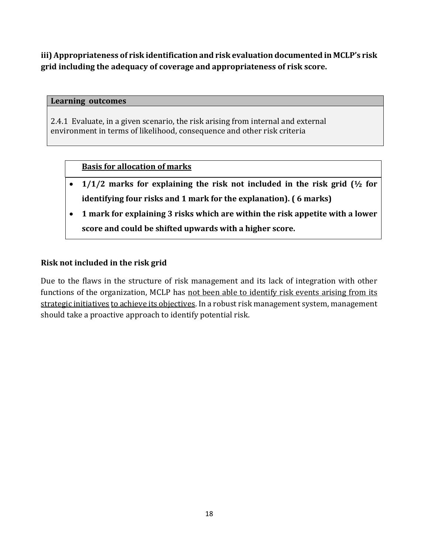**iii) Appropriateness of risk identification and risk evaluation documented in MCLP's risk grid including the adequacy of coverage and appropriateness of risk score.**

#### **Learning outcomes**

2.4.1 Evaluate, in a given scenario, the risk arising from internal and external environment in terms of likelihood, consequence and other risk criteria

#### **Basis for allocation of marks**

- **1/1/2 marks for explaining the risk not included in the risk grid (½ for identifying four risks and 1 mark for the explanation). ( 6 marks)**
- **1 mark for explaining 3 risks which are within the risk appetite with a lower score and could be shifted upwards with a higher score.**

#### **Risk not included in the risk grid**

Due to the flaws in the structure of risk management and its lack of integration with other functions of the organization, MCLP has not been able to identify risk events arising from its strategic initiatives to achieve its objectives. In a robust risk management system, management should take a proactive approach to identify potential risk.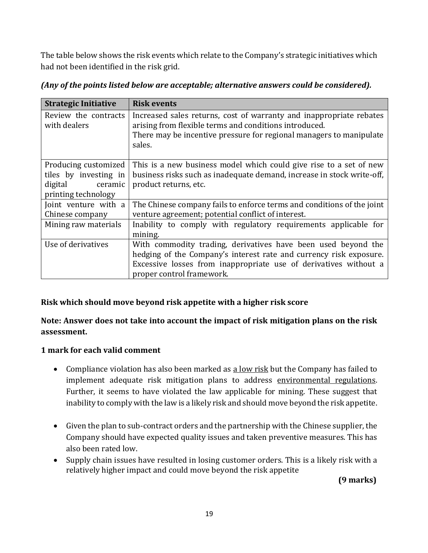The table below shows the risk events which relate to the Company's strategic initiatives which had not been identified in the risk grid.

| <b>Strategic Initiative</b>          | <b>Risk events</b>                                                                                                            |
|--------------------------------------|-------------------------------------------------------------------------------------------------------------------------------|
| Review the contracts<br>with dealers | Increased sales returns, cost of warranty and inappropriate rebates<br>arising from flexible terms and conditions introduced. |
|                                      | There may be incentive pressure for regional managers to manipulate<br>sales.                                                 |
| Producing customized                 | This is a new business model which could give rise to a set of new                                                            |
| tiles by investing in                | business risks such as inadequate demand, increase in stock write-off,                                                        |
| digital<br>ceramic                   | product returns, etc.                                                                                                         |
| printing technology                  |                                                                                                                               |
| Joint venture with a                 | The Chinese company fails to enforce terms and conditions of the joint                                                        |
| Chinese company                      | venture agreement; potential conflict of interest.                                                                            |
| Mining raw materials                 | Inability to comply with regulatory requirements applicable for<br>mining.                                                    |
| Use of derivatives                   | With commodity trading, derivatives have been used beyond the                                                                 |
|                                      | hedging of the Company's interest rate and currency risk exposure.                                                            |
|                                      |                                                                                                                               |
|                                      | Excessive losses from inappropriate use of derivatives without a                                                              |
|                                      | proper control framework.                                                                                                     |

*(Any of the points listed below are acceptable; alternative answers could be considered).*

## **Risk which should move beyond risk appetite with a higher risk score**

## **Note: Answer does not take into account the impact of risk mitigation plans on the risk assessment.**

## **1 mark for each valid comment**

- Compliance violation has also been marked as a low risk but the Company has failed to implement adequate risk mitigation plans to address environmental regulations. Further, it seems to have violated the law applicable for mining. These suggest that inability to comply with the law is a likely risk and should move beyond the risk appetite.
- Given the plan to sub-contract orders and the partnership with the Chinese supplier, the Company should have expected quality issues and taken preventive measures. This has also been rated low.
- Supply chain issues have resulted in losing customer orders. This is a likely risk with a relatively higher impact and could move beyond the risk appetite

 **(9 marks)**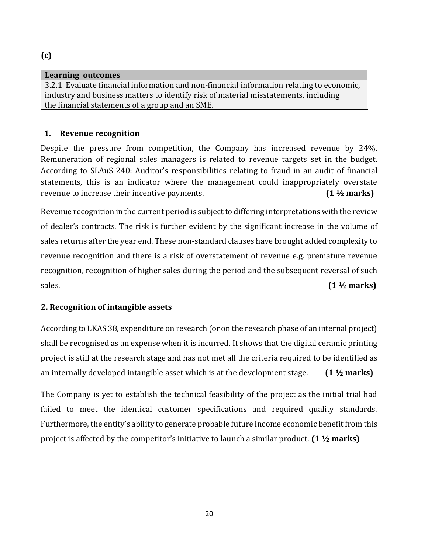#### **Learning outcomes**

3.2.1 Evaluate financial information and non-financial information relating to economic, industry and business matters to identify risk of material misstatements, including the financial statements of a group and an SME.

## **1. Revenue recognition**

Despite the pressure from competition, the Company has increased revenue by 24%. Remuneration of regional sales managers is related to revenue targets set in the budget. According to SLAuS 240: Auditor's responsibilities relating to fraud in an audit of financial statements, this is an indicator where the management could inappropriately overstate revenue to increase their incentive payments. **(1 ½ marks)**

Revenue recognition in the current period is subject to differing interpretations with the review of dealer's contracts. The risk is further evident by the significant increase in the volume of sales returns after the year end. These non-standard clauses have brought added complexity to revenue recognition and there is a risk of overstatement of revenue e.g. premature revenue recognition, recognition of higher sales during the period and the subsequent reversal of such sales. **(1 ½ marks)**

## **2. Recognition of intangible assets**

According to LKAS 38, expenditure on research (or on the research phase of an internal project) shall be recognised as an expense when it is incurred. It shows that the digital ceramic printing project is still at the research stage and has not met all the criteria required to be identified as an internally developed intangible asset which is at the development stage. **(1 ½ marks)**

The Company is yet to establish the technical feasibility of the project as the initial trial had failed to meet the identical customer specifications and required quality standards. Furthermore, the entity's ability to generate probable future income economic benefit from this project is affected by the competitor's initiative to launch a similar product. **(1 ½ marks)**

## **(c)**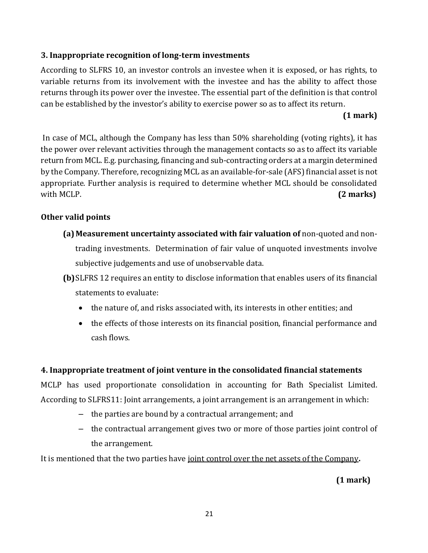## **3. Inappropriate recognition of long-term investments**

According to SLFRS 10, an investor controls an investee when it is exposed, or has rights, to variable returns from its involvement with the investee and has the ability to affect those returns through its power over the investee. The essential part of the definition is that control can be established by the investor's ability to exercise power so as to affect its return.

## **(1 mark)**

In case of MCL, although the Company has less than 50% shareholding (voting rights), it has the power over relevant activities through the management contacts so as to affect its variable return from MCL. E.g. purchasing, financing and sub-contracting orders at a margin determined by the Company. Therefore, recognizing MCL as an available-for-sale (AFS) financial asset is not appropriate. Further analysis is required to determine whether MCL should be consolidated with MCLP. **(2 marks) (2 marks)** 

## **Other valid points**

- **(a) Measurement uncertainty associated with fair valuation of** non-quoted and nontrading investments. Determination of fair value of unquoted investments involve subjective judgements and use of unobservable data.
- **(b)**SLFRS 12 requires an entity to disclose information that enables users of its financial statements to evaluate:
	- the nature of, and risks associated with, its interests in other entities; and
	- the effects of those interests on its financial position, financial performance and cash flows.

## **4. Inappropriate treatment of joint venture in the consolidated financial statements**

MCLP has used proportionate consolidation in accounting for Bath Specialist Limited. According to SLFRS11: Joint arrangements, a joint arrangement is an arrangement in which:

- the parties are bound by a contractual arrangement; and
- the contractual arrangement gives two or more of those parties joint control of the arrangement.

It is mentioned that the two parties have joint control over the net assets of the Company**.** 

 **(1 mark)**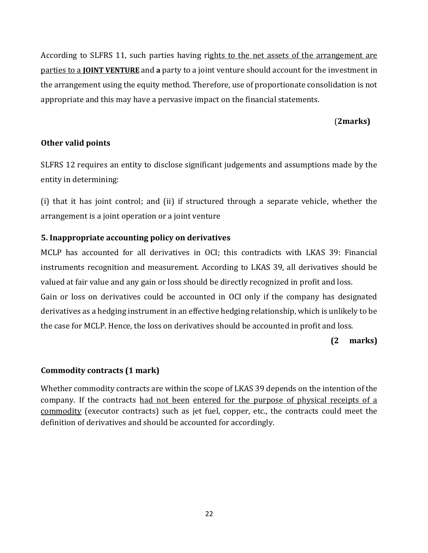According to SLFRS 11, such parties having rights to the net assets of the arrangement are parties to a **JOINT VENTURE** and **a** party to a joint venture should account for the investment in the arrangement using the equity method. Therefore, use of proportionate consolidation is not appropriate and this may have a pervasive impact on the financial statements.

## (**2marks)**

#### **Other valid points**

SLFRS 12 requires an entity to disclose significant judgements and assumptions made by the entity in determining:

(i) that it has joint control; and (ii) if structured through a separate vehicle, whether the arrangement is a joint operation or a joint venture

#### **5. Inappropriate accounting policy on derivatives**

MCLP has accounted for all derivatives in OCI; this contradicts with LKAS 39: Financial instruments recognition and measurement. According to LKAS 39, all derivatives should be valued at fair value and any gain or loss should be directly recognized in profit and loss. Gain or loss on derivatives could be accounted in OCI only if the company has designated

derivatives as a hedging instrument in an effective hedging relationship, which is unlikely to be the case for MCLP. Hence, the loss on derivatives should be accounted in profit and loss.

#### **(2 marks)**

## **Commodity contracts (1 mark)**

Whether commodity contracts are within the scope of LKAS 39 depends on the intention of the company. If the contracts had not been entered for the purpose of physical receipts of a commodity (executor contracts) such as jet fuel, copper, etc., the contracts could meet the definition of derivatives and should be accounted for accordingly.